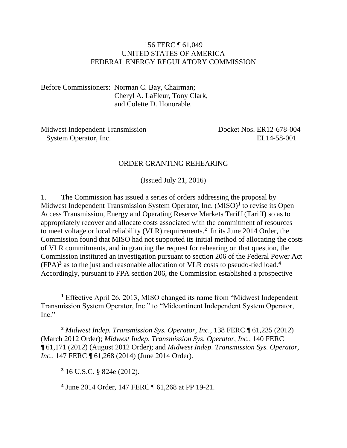#### 156 FERC ¶ 61,049 UNITED STATES OF AMERICA FEDERAL ENERGY REGULATORY COMMISSION

Before Commissioners: Norman C. Bay, Chairman; Cheryl A. LaFleur, Tony Clark, and Colette D. Honorable.

Midwest Independent Transmission System Operator, Inc. Docket Nos. ER12-678-004 EL14-58-001

#### ORDER GRANTING REHEARING

(Issued July 21, 2016)

1. The Commission has issued a series of orders addressing the proposal by Midwest Independent Transmission System Operator, Inc. (MISO)**<sup>1</sup>** to revise its Open Access Transmission, Energy and Operating Reserve Markets Tariff (Tariff) so as to appropriately recover and allocate costs associated with the commitment of resources to meet voltage or local reliability (VLR) requirements. **2** In its June 2014 Order, the Commission found that MISO had not supported its initial method of allocating the costs of VLR commitments, and in granting the request for rehearing on that question, the Commission instituted an investigation pursuant to section 206 of the Federal Power Act (FPA)**<sup>3</sup>** as to the just and reasonable allocation of VLR costs to pseudo-tied load. **4** Accordingly, pursuant to FPA section 206, the Commission established a prospective

**<sup>2</sup>** *Midwest Indep. Transmission Sys. Operator, Inc.*, 138 FERC ¶ 61,235 (2012) (March 2012 Order); *Midwest Indep. Transmission Sys. Operator, Inc.*, 140 FERC ¶ 61,171 (2012) (August 2012 Order); and *Midwest Indep. Transmission Sys. Operator, Inc.*, 147 FERC  $\P$  61,268 (2014) (June 2014 Order).

**<sup>3</sup>** 16 U.S.C. § 824e (2012).

**4** June 2014 Order, 147 FERC ¶ 61,268 at PP 19-21.

**<sup>1</sup>** Effective April 26, 2013, MISO changed its name from "Midwest Independent Transmission System Operator, Inc." to "Midcontinent Independent System Operator, Inc."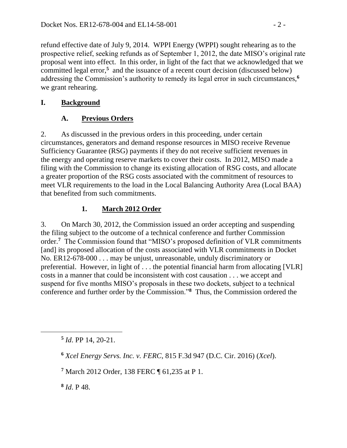refund effective date of July 9, 2014. WPPI Energy (WPPI) sought rehearing as to the prospective relief, seeking refunds as of September 1, 2012, the date MISO's original rate proposal went into effect. In this order, in light of the fact that we acknowledged that we committed legal error,<sup>5</sup> and the issuance of a recent court decision (discussed below) addressing the Commission's authority to remedy its legal error in such circumstances,**<sup>6</sup>** we grant rehearing.

### **I. Background**

## **A. Previous Orders**

2. As discussed in the previous orders in this proceeding, under certain circumstances, generators and demand response resources in MISO receive Revenue Sufficiency Guarantee (RSG) payments if they do not receive sufficient revenues in the energy and operating reserve markets to cover their costs. In 2012, MISO made a filing with the Commission to change its existing allocation of RSG costs, and allocate a greater proportion of the RSG costs associated with the commitment of resources to meet VLR requirements to the load in the Local Balancing Authority Area (Local BAA) that benefited from such commitments.

# **1. March 2012 Order**

3. On March 30, 2012, the Commission issued an order accepting and suspending the filing subject to the outcome of a technical conference and further Commission order.**<sup>7</sup>** The Commission found that "MISO's proposed definition of VLR commitments [and] its proposed allocation of the costs associated with VLR commitments in Docket No. ER12-678-000 . . . may be unjust, unreasonable, unduly discriminatory or preferential. However, in light of . . . the potential financial harm from allocating [VLR] costs in a manner that could be inconsistent with cost causation . . . we accept and suspend for five months MISO's proposals in these two dockets, subject to a technical conference and further order by the Commission."**<sup>8</sup>** Thus, the Commission ordered the

**5** *Id*. PP 14, 20-21.

**8** *Id*. P 48.

**<sup>6</sup>** *Xcel Energy Servs. Inc. v. FERC*, 815 F.3d 947 (D.C. Cir. 2016) (*Xcel*).

**<sup>7</sup>** March 2012 Order, 138 FERC ¶ 61,235 at P 1.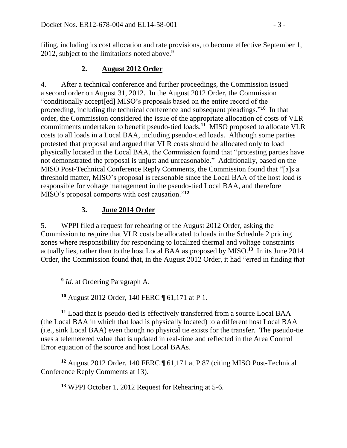filing, including its cost allocation and rate provisions, to become effective September 1, 2012, subject to the limitations noted above.**<sup>9</sup>**

#### **2. August 2012 Order**

4. After a technical conference and further proceedings, the Commission issued a second order on August 31, 2012. In the August 2012 Order, the Commission "conditionally accept[ed] MISO's proposals based on the entire record of the proceeding, including the technical conference and subsequent pleadings."<sup>10</sup> In that order, the Commission considered the issue of the appropriate allocation of costs of VLR commitments undertaken to benefit pseudo-tied loads. **11** MISO proposed to allocate VLR costs to all loads in a Local BAA, including pseudo-tied loads. Although some parties protested that proposal and argued that VLR costs should be allocated only to load physically located in the Local BAA, the Commission found that "protesting parties have not demonstrated the proposal is unjust and unreasonable." Additionally, based on the MISO Post-Technical Conference Reply Comments, the Commission found that "[a]s a threshold matter, MISO's proposal is reasonable since the Local BAA of the host load is responsible for voltage management in the pseudo-tied Local BAA, and therefore MISO's proposal comports with cost causation." **12**

#### **3. June 2014 Order**

5. WPPI filed a request for rehearing of the August 2012 Order, asking the Commission to require that VLR costs be allocated to loads in the Schedule 2 pricing zones where responsibility for responding to localized thermal and voltage constraints actually lies, rather than to the host Local BAA as proposed by MISO.**<sup>13</sup>** In its June 2014 Order, the Commission found that, in the August 2012 Order, it had "erred in finding that

**9** *Id*. at Ordering Paragraph A.

 $\overline{a}$ 

**<sup>10</sup>** August 2012 Order, 140 FERC ¶ 61,171 at P 1.

**<sup>11</sup>** Load that is pseudo-tied is effectively transferred from a source Local BAA (the Local BAA in which that load is physically located) to a different host Local BAA (i.e., sink Local BAA) even though no physical tie exists for the transfer. The pseudo-tie uses a telemetered value that is updated in real-time and reflected in the Area Control Error equation of the source and host Local BAAs.

**<sup>12</sup>** August 2012 Order, 140 FERC ¶ 61,171 at P 87 (citing MISO Post-Technical Conference Reply Comments at 13).

**<sup>13</sup>** WPPI October 1, 2012 Request for Rehearing at 5-6.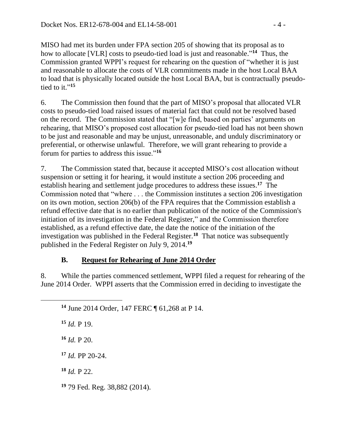MISO had met its burden under FPA section 205 of showing that its proposal as to how to allocate [VLR] costs to pseudo-tied load is just and reasonable." **14** Thus, the Commission granted WPPI's request for rehearing on the question of "whether it is just and reasonable to allocate the costs of VLR commitments made in the host Local BAA to load that is physically located outside the host Local BAA, but is contractually pseudotied to it." **15**

6. The Commission then found that the part of MISO's proposal that allocated VLR costs to pseudo-tied load raised issues of material fact that could not be resolved based on the record. The Commission stated that "[w]e find, based on parties' arguments on rehearing, that MISO's proposed cost allocation for pseudo-tied load has not been shown to be just and reasonable and may be unjust, unreasonable, and unduly discriminatory or preferential, or otherwise unlawful. Therefore, we will grant rehearing to provide a forum for parties to address this issue."**<sup>16</sup>**

7. The Commission stated that, because it accepted MISO's cost allocation without suspension or setting it for hearing, it would institute a section 206 proceeding and establish hearing and settlement judge procedures to address these issues. **17** The Commission noted that "where . . . the Commission institutes a section 206 investigation on its own motion, section 206(b) of the FPA requires that the Commission establish a refund effective date that is no earlier than publication of the notice of the Commission's initiation of its investigation in the Federal Register," and the Commission therefore established, as a refund effective date, the date the notice of the initiation of the investigation was published in the Federal Register.**<sup>18</sup>** That notice was subsequently published in the Federal Register on July 9, 2014.**<sup>19</sup>**

### **B. Request for Rehearing of June 2014 Order**

8. While the parties commenced settlement, WPPI filed a request for rehearing of the June 2014 Order. WPPI asserts that the Commission erred in deciding to investigate the

**<sup>14</sup>** June 2014 Order, 147 FERC ¶ 61,268 at P 14.

 *Id.* P 19. *Id.* P 20. *Id.* PP 20-24. *Id.* P 22.

**<sup>19</sup>** 79 Fed. Reg. 38,882 (2014).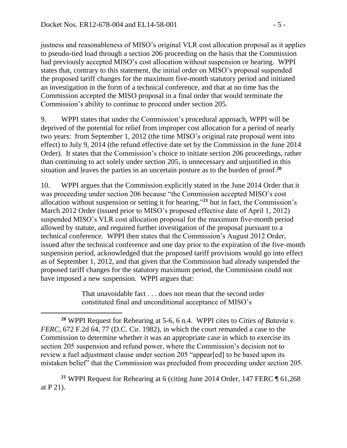$\overline{a}$ 

justness and reasonableness of MISO's original VLR cost allocation proposal as it applies to pseudo-tied load through a section 206 proceeding on the basis that the Commission had previously accepted MISO's cost allocation without suspension or hearing. WPPI states that, contrary to this statement, the initial order on MISO's proposal suspended the proposed tariff changes for the maximum five-month statutory period and initiated an investigation in the form of a technical conference, and that at no time has the Commission accepted the MISO proposal in a final order that would terminate the Commission's ability to continue to proceed under section 205.

9. WPPI states that under the Commission's procedural approach, WPPI will be deprived of the potential for relief from improper cost allocation for a period of nearly two years: from September 1, 2012 (the time MISO's original rate proposal went into effect) to July 9, 2014 (the refund effective date set by the Commission in the June 2014 Order). It states that the Commission's choice to initiate section 206 proceedings, rather than continuing to act solely under section 205, is unnecessary and unjustified in this situation and leaves the parties in an uncertain posture as to the burden of proof. **20**

10. WPPI argues that the Commission explicitly stated in the June 2014 Order that it was proceeding under section 206 because "the Commission accepted MISO's cost allocation without suspension or setting it for hearing," **<sup>21</sup>** but in fact, the Commission's March 2012 Order (issued prior to MISO's proposed effective date of April 1, 2012) suspended MISO's VLR cost allocation proposal for the maximum five-month period allowed by statute, and required further investigation of the proposal pursuant to a technical conference. WPPI then states that the Commission's August 2012 Order, issued after the technical conference and one day prior to the expiration of the five-month suspension period, acknowledged that the proposed tariff provisions would go into effect as of September 1, 2012, and that given that the Commission had already suspended the proposed tariff changes for the statutory maximum period, the Commission could not have imposed a new suspension. WPPI argues that:

> That unavoidable fact . . . does not mean that the second order constituted final and unconditional acceptance of MISO's

**<sup>20</sup>** WPPI Request for Rehearing at 5-6, 6 n.4. WPPI cites to *Cities of Batavia v. FERC*, 672 F.2d 64, 77 (D.C. Cir. 1982), in which the court remanded a case to the Commission to determine whether it was an appropriate case in which to exercise its section 205 suspension and refund power, where the Commission's decision not to review a fuel adjustment clause under section 205 "appear[ed] to be based upon its mistaken belief" that the Commission was precluded from proceeding under section 205.

**<sup>21</sup>** WPPI Request for Rehearing at 6 (citing June 2014 Order, 147 FERC ¶ 61,268 at P 21).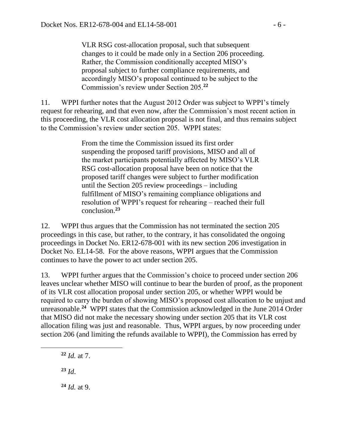VLR RSG cost-allocation proposal, such that subsequent changes to it could be made only in a Section 206 proceeding. Rather, the Commission conditionally accepted MISO's proposal subject to further compliance requirements, and accordingly MISO's proposal continued to be subject to the Commission's review under Section 205.**<sup>22</sup>**

11. WPPI further notes that the August 2012 Order was subject to WPPI's timely request for rehearing, and that even now, after the Commission's most recent action in this proceeding, the VLR cost allocation proposal is not final, and thus remains subject to the Commission's review under section 205. WPPI states:

> From the time the Commission issued its first order suspending the proposed tariff provisions, MISO and all of the market participants potentially affected by MISO's VLR RSG cost-allocation proposal have been on notice that the proposed tariff changes were subject to further modification until the Section 205 review proceedings – including fulfillment of MISO's remaining compliance obligations and resolution of WPPI's request for rehearing – reached their full conclusion.**<sup>23</sup>**

12. WPPI thus argues that the Commission has not terminated the section 205 proceedings in this case, but rather, to the contrary, it has consolidated the ongoing proceedings in Docket No. ER12-678-001 with its new section 206 investigation in Docket No. EL14-58. For the above reasons, WPPI argues that the Commission continues to have the power to act under section 205.

13. WPPI further argues that the Commission's choice to proceed under section 206 leaves unclear whether MISO will continue to bear the burden of proof, as the proponent of its VLR cost allocation proposal under section 205, or whether WPPI would be required to carry the burden of showing MISO's proposed cost allocation to be unjust and unreasonable.**<sup>24</sup>** WPPI states that the Commission acknowledged in the June 2014 Order that MISO did not make the necessary showing under section 205 that its VLR cost allocation filing was just and reasonable. Thus, WPPI argues, by now proceeding under section 206 (and limiting the refunds available to WPPI), the Commission has erred by

- **<sup>22</sup>** *Id.* at 7.
- **<sup>23</sup>** *Id*.

**<sup>24</sup>** *Id.* at 9.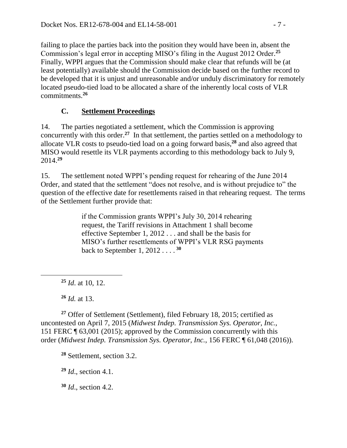failing to place the parties back into the position they would have been in, absent the Commission's legal error in accepting MISO's filing in the August 2012 Order. **25** Finally, WPPI argues that the Commission should make clear that refunds will be (at least potentially) available should the Commission decide based on the further record to be developed that it is unjust and unreasonable and/or unduly discriminatory for remotely located pseudo-tied load to be allocated a share of the inherently local costs of VLR commitments.**<sup>26</sup>**

### **C. Settlement Proceedings**

14. The parties negotiated a settlement, which the Commission is approving concurrently with this order. **<sup>27</sup>** In that settlement, the parties settled on a methodology to allocate VLR costs to pseudo-tied load on a going forward basis, **<sup>28</sup>** and also agreed that MISO would resettle its VLR payments according to this methodology back to July 9, 2014.**<sup>29</sup>**

15. The settlement noted WPPI's pending request for rehearing of the June 2014 Order, and stated that the settlement "does not resolve, and is without prejudice to" the question of the effective date for resettlements raised in that rehearing request. The terms of the Settlement further provide that:

> if the Commission grants WPPI's July 30, 2014 rehearing request, the Tariff revisions in Attachment 1 shall become effective September 1, 2012 . . . and shall be the basis for MISO's further resettlements of WPPI's VLR RSG payments back to September 1, 2012 . . . . **<sup>30</sup>**

**<sup>25</sup>** *Id*. at 10, 12.

**<sup>26</sup>** *Id.* at 13.

 $\overline{a}$ 

**<sup>27</sup>** Offer of Settlement (Settlement), filed February 18, 2015; certified as uncontested on April 7, 2015 (*Midwest Indep. Transmission Sys. Operator, Inc.*, 151 FERC ¶ 63,001 (2015); approved by the Commission concurrently with this order (*Midwest Indep. Transmission Sys. Operator, Inc.*, 156 FERC ¶ 61,048 (2016)).

**<sup>28</sup>** Settlement, section 3.2.

**<sup>29</sup>** *Id*., section 4.1.

**<sup>30</sup>** *Id*., section 4.2.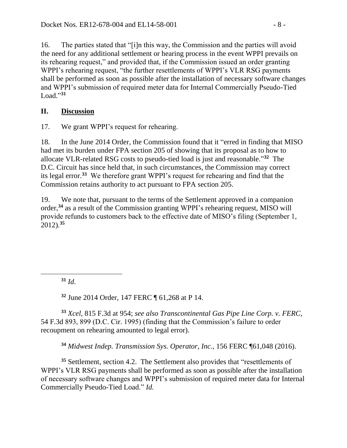16. The parties stated that "[i]n this way, the Commission and the parties will avoid the need for any additional settlement or hearing process in the event WPPI prevails on its rehearing request," and provided that, if the Commission issued an order granting WPPI's rehearing request, "the further resettlements of WPPI's VLR RSG payments shall be performed as soon as possible after the installation of necessary software changes and WPPI's submission of required meter data for Internal Commercially Pseudo-Tied Load." **31**

### **II. Discussion**

17. We grant WPPI's request for rehearing.

18. In the June 2014 Order, the Commission found that it "erred in finding that MISO had met its burden under FPA section 205 of showing that its proposal as to how to allocate VLR-related RSG costs to pseudo-tied load is just and reasonable."**<sup>32</sup>** The D.C. Circuit has since held that, in such circumstances, the Commission may correct its legal error.**<sup>33</sup>** We therefore grant WPPI's request for rehearing and find that the Commission retains authority to act pursuant to FPA section 205.

19. We note that, pursuant to the terms of the Settlement approved in a companion order,**<sup>34</sup>** as a result of the Commission granting WPPI's rehearing request, MISO will provide refunds to customers back to the effective date of MISO's filing (September 1, 2012). **35**

**<sup>31</sup>** *Id*.

 $\overline{a}$ 

**<sup>32</sup>** June 2014 Order, 147 FERC ¶ 61,268 at P 14.

**<sup>33</sup>** *Xcel*, 815 F.3d at 954; *see also Transcontinental Gas Pipe Line Corp. v. FERC*, 54 F.3d 893, 899 (D.C. Cir. 1995) (finding that the Commission's failure to order recoupment on rehearing amounted to legal error).

**<sup>34</sup>** *Midwest Indep. Transmission Sys. Operator, Inc.*, 156 FERC ¶61,048 (2016).

**<sup>35</sup>** Settlement, section 4.2. The Settlement also provides that "resettlements of WPPI's VLR RSG payments shall be performed as soon as possible after the installation of necessary software changes and WPPI's submission of required meter data for Internal Commercially Pseudo-Tied Load." *Id.*